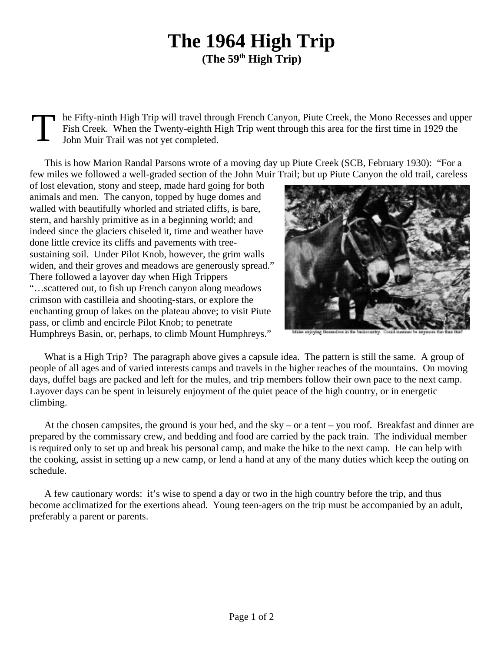## **The 1964 High Trip (The 59th High Trip)**

T he Fifty-ninth High Trip will travel through French Canyon, Piute Creek, the Mono Recesses and upper Fish Creek. When the Twenty-eighth High Trip went through this area for the first time in 1929 the John Muir Trail was not yet completed.

This is how Marion Randal Parsons wrote of a moving day up Piute Creek (SCB, February 1930): "For a few miles we followed a well-graded section of the John Muir Trail; but up Piute Canyon the old trail, careless

of lost elevation, stony and steep, made hard going for both animals and men. The canyon, topped by huge domes and walled with beautifully whorled and striated cliffs, is bare, stern, and harshly primitive as in a beginning world; and indeed since the glaciers chiseled it, time and weather have done little crevice its cliffs and pavements with treesustaining soil. Under Pilot Knob, however, the grim walls widen, and their groves and meadows are generously spread." There followed a layover day when High Trippers "…scattered out, to fish up French canyon along meadows crimson with castilleia and shooting-stars, or explore the enchanting group of lakes on the plateau above; to visit Piute pass, or climb and encircle Pilot Knob; to penetrate Humphreys Basin, or, perhaps, to climb Mount Humphreys."



What is a High Trip? The paragraph above gives a capsule idea. The pattern is still the same. A group of people of all ages and of varied interests camps and travels in the higher reaches of the mountains. On moving days, duffel bags are packed and left for the mules, and trip members follow their own pace to the next camp. Layover days can be spent in leisurely enjoyment of the quiet peace of the high country, or in energetic climbing.

At the chosen campsites, the ground is your bed, and the sky – or a tent – you roof. Breakfast and dinner are prepared by the commissary crew, and bedding and food are carried by the pack train. The individual member is required only to set up and break his personal camp, and make the hike to the next camp. He can help with the cooking, assist in setting up a new camp, or lend a hand at any of the many duties which keep the outing on schedule.

A few cautionary words: it's wise to spend a day or two in the high country before the trip, and thus become acclimatized for the exertions ahead. Young teen-agers on the trip must be accompanied by an adult, preferably a parent or parents.